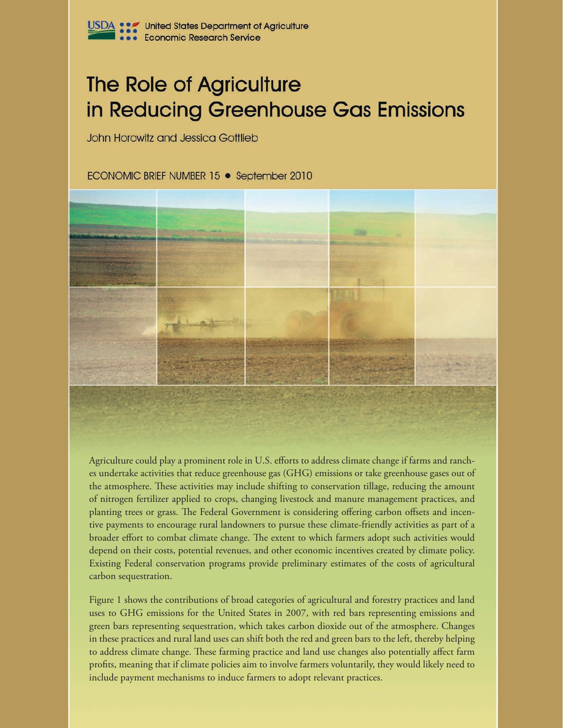# **The Role of Agriculture** in Reducing Greenhouse Gas Emissions

John Horowitz and Jessica Gottlieb

ECONOMIC BRIEF NUMBER 15 • September 2010



Agriculture could play a prominent role in U.S. efforts to address climate change if farms and ranches undertake activities that reduce greenhouse gas (GHG) emissions or take greenhouse gases out of the atmosphere. These activities may include shifting to conservation tillage, reducing the amount of nitrogen fertilizer applied to crops, changing livestock and manure management practices, and planting trees or grass. The Federal Government is considering offering carbon offsets and incentive payments to encourage rural landowners to pursue these climate-friendly activities as part of a broader effort to combat climate change. The extent to which farmers adopt such activities would depend on their costs, potential revenues, and other economic incentives created by climate policy. Existing Federal conservation programs provide preliminary estimates of the costs of agricultural carbon sequestration.

Figure 1 shows the contributions of broad categories of agricultural and forestry practices and land uses to GHG emissions for the United States in 2007, with red bars representing emissions and green bars representing sequestration, which takes carbon dioxide out of the atmosphere. Changes in these practices and rural land uses can shift both the red and green bars to the left, thereby helping to address climate change. These farming practice and land use changes also potentially affect farm profits, meaning that if climate policies aim to involve farmers voluntarily, they would likely need to include payment mechanisms to induce farmers to adopt relevant practices.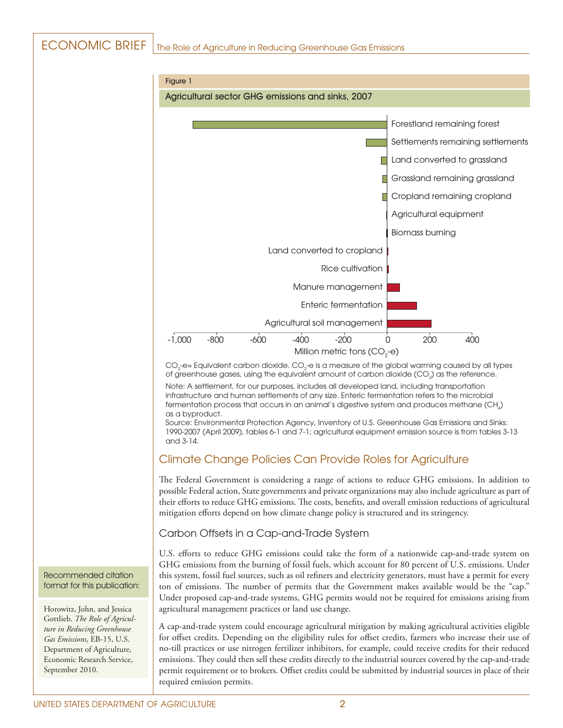# ECONOMIC BRIEF | The Role of Agriculture in Reducing Greenhouse Gas Emissions



CO $_2$ -e= Equivalent carbon dioxide. CO $_2$ -e is a measure of the global warming caused by all types of greenhouse gases, using the equivalent amount of carbon dioxide (CO $_{2}$ ) as the reference.

Note: A settlement, for our purposes, includes all developed land, including transportation infrastructure and human settlements of any size. Enteric fermentation refers to the microbial fermentation process that occurs in an animal's digestive system and produces methane (CH $_{\scriptscriptstyle{A}}$ ) as a byproduct.

Source: Environmental Protection Agency, Inventory of U.S. Greenhouse Gas Emissions and Sinks: 1990-2007 (April 2009), tables 6-1 and 7-1; agricultural equipment emission source is from tables 3-13 and 3-14.

# Climate Change Policies Can Provide Roles for Agriculture

The Federal Government is considering a range of actions to reduce GHG emissions. In addition to possible Federal action, State governments and private organizations may also include agriculture as part of their efforts to reduce GHG emissions. The costs, benefits, and overall emission reductions of agricultural mitigation efforts depend on how climate change policy is structured and its stringency.

## Carbon Offsets in a Cap-and-Trade System

U.S. efforts to reduce GHG emissions could take the form of a nationwide cap-and-trade system on GHG emissions from the burning of fossil fuels, which account for 80 percent of U.S. emissions. Under this system, fossil fuel sources, such as oil refiners and electricity generators, must have a permit for every ton of emissions. The number of permits that the Government makes available would be the "cap." Under proposed cap-and-trade systems, GHG permits would not be required for emissions arising from agricultural management practices or land use change.

A cap-and-trade system could encourage agricultural mitigation by making agricultural activities eligible for offset credits. Depending on the eligibility rules for offset credits, farmers who increase their use of no-till practices or use nitrogen fertilizer inhibitors, for example, could receive credits for their reduced emissions. They could then sell these credits directly to the industrial sources covered by the cap-and-trade permit requirement or to brokers. Offset credits could be submitted by industrial sources in place of their required emission permits.

#### Recommended citation format for this publication:

Horowitz, John, and Jessica Gottlieb. *The Role of Agriculture in Reducing Greenhouse Gas Emissions*, EB-15, U.S. Department of Agriculture, Economic Research Service, September 2010.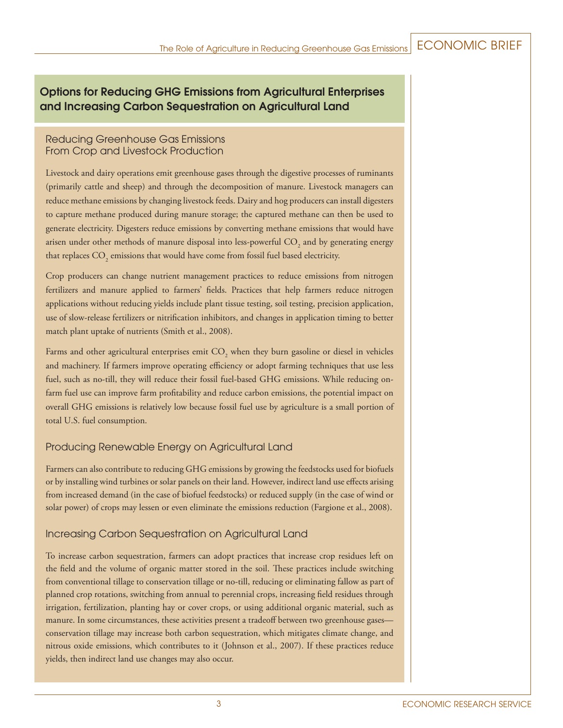# Options for Reducing GHG Emissions from Agricultural Enterprises and Increasing Carbon Sequestration on Agricultural Land

## Reducing Greenhouse Gas Emissions From Crop and Livestock Production

Livestock and dairy operations emit greenhouse gases through the digestive processes of ruminants (primarily cattle and sheep) and through the decomposition of manure. Livestock managers can reduce methane emissions by changing livestock feeds. Dairy and hog producers can install digesters to capture methane produced during manure storage; the captured methane can then be used to generate electricity. Digesters reduce emissions by converting methane emissions that would have arisen under other methods of manure disposal into less-powerful  $\mathrm{CO}_2^{}$  and by generating energy that replaces  $\mathrm{CO}_\mathrm{_2}$  emissions that would have come from fossil fuel based electricity.

Crop producers can change nutrient management practices to reduce emissions from nitrogen fertilizers and manure applied to farmers' fields. Practices that help farmers reduce nitrogen applications without reducing yields include plant tissue testing, soil testing, precision application, use of slow-release fertilizers or nitrification inhibitors, and changes in application timing to better match plant uptake of nutrients (Smith et al., 2008).

Farms and other agricultural enterprises emit  $\mathrm{CO}_2$  when they burn gasoline or diesel in vehicles and machinery. If farmers improve operating efficiency or adopt farming techniques that use less fuel, such as no-till, they will reduce their fossil fuel-based GHG emissions. While reducing onfarm fuel use can improve farm profitability and reduce carbon emissions, the potential impact on overall GHG emissions is relatively low because fossil fuel use by agriculture is a small portion of total U.S. fuel consumption.

# Producing Renewable Energy on Agricultural Land

Farmers can also contribute to reducing GHG emissions by growing the feedstocks used for biofuels or by installing wind turbines or solar panels on their land. However, indirect land use effects arising from increased demand (in the case of biofuel feedstocks) or reduced supply (in the case of wind or solar power) of crops may lessen or even eliminate the emissions reduction (Fargione et al., 2008).

# Increasing Carbon Sequestration on Agricultural Land

To increase carbon sequestration, farmers can adopt practices that increase crop residues left on the field and the volume of organic matter stored in the soil. These practices include switching from conventional tillage to conservation tillage or no-till, reducing or eliminating fallow as part of planned crop rotations, switching from annual to perennial crops, increasing field residues through irrigation, fertilization, planting hay or cover crops, or using additional organic material, such as manure. In some circumstances, these activities present a tradeoff between two greenhouse gases conservation tillage may increase both carbon sequestration, which mitigates climate change, and nitrous oxide emissions, which contributes to it (Johnson et al., 2007). If these practices reduce yields, then indirect land use changes may also occur.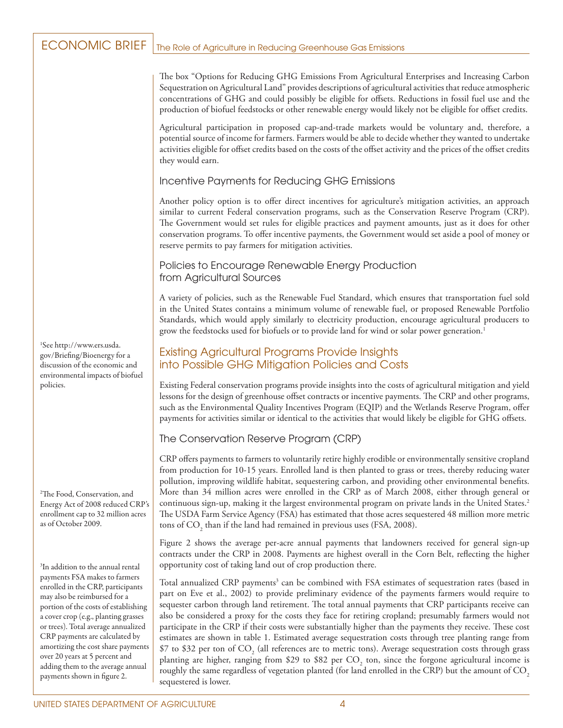# ECONOMIC BRIEF | The Role of Agriculture in Reducing Greenhouse Gas Emissions

The box "Options for Reducing GHG Emissions From Agricultural Enterprises and Increasing Carbon Sequestration on Agricultural Land" provides descriptions of agricultural activities that reduce atmospheric concentrations of GHG and could possibly be eligible for offsets. Reductions in fossil fuel use and the production of biofuel feedstocks or other renewable energy would likely not be eligible for offset credits.

Agricultural participation in proposed cap-and-trade markets would be voluntary and, therefore, a potential source of income for farmers. Farmers would be able to decide whether they wanted to undertake activities eligible for offset credits based on the costs of the offset activity and the prices of the offset credits they would earn.

#### Incentive Payments for Reducing GHG Emissions

Another policy option is to offer direct incentives for agriculture's mitigation activities, an approach similar to current Federal conservation programs, such as the Conservation Reserve Program (CRP). The Government would set rules for eligible practices and payment amounts, just as it does for other conservation programs. To offer incentive payments, the Government would set aside a pool of money or reserve permits to pay farmers for mitigation activities.

## Policies to Encourage Renewable Energy Production from Agricultural Sources

A variety of policies, such as the Renewable Fuel Standard, which ensures that transportation fuel sold in the United States contains a minimum volume of renewable fuel, or proposed Renewable Portfolio Standards, which would apply similarly to electricity production, encourage agricultural producers to grow the feedstocks used for biofuels or to provide land for wind or solar power generation.<sup>1</sup>

# Existing Agricultural Programs Provide Insights into Possible GHG Mitigation Policies and Costs

Existing Federal conservation programs provide insights into the costs of agricultural mitigation and yield lessons for the design of greenhouse offset contracts or incentive payments. The CRP and other programs, such as the Environmental Quality Incentives Program (EQIP) and the Wetlands Reserve Program, offer payments for activities similar or identical to the activities that would likely be eligible for GHG offsets.

## The Conservation Reserve Program (CRP)

CRP offers payments to farmers to voluntarily retire highly erodible or environmentally sensitive cropland from production for 10-15 years. Enrolled land is then planted to grass or trees, thereby reducing water pollution, improving wildlife habitat, sequestering carbon, and providing other environmental benefits. More than 34 million acres were enrolled in the CRP as of March 2008, either through general or continuous sign-up, making it the largest environmental program on private lands in the United States.2 The USDA Farm Service Agency (FSA) has estimated that those acres sequestered 48 million more metric tons of  $\text{CO}_2$  than if the land had remained in previous uses (FSA, 2008).

Figure 2 shows the average per-acre annual payments that landowners received for general sign-up contracts under the CRP in 2008. Payments are highest overall in the Corn Belt, reflecting the higher opportunity cost of taking land out of crop production there.

Total annualized CRP payments<sup>3</sup> can be combined with FSA estimates of sequestration rates (based in part on Eve et al., 2002) to provide preliminary evidence of the payments farmers would require to sequester carbon through land retirement. The total annual payments that CRP participants receive can also be considered a proxy for the costs they face for retiring cropland; presumably farmers would not participate in the CRP if their costs were substantially higher than the payments they receive. These cost estimates are shown in table 1. Estimated average sequestration costs through tree planting range from \$7 to \$32 per ton of  $\mathrm{CO}_2$  (all references are to metric tons). Average sequestration costs through grass planting are higher, ranging from \$29 to \$82 per  $\text{CO}_2$  ton, since the forgone agricultural income is roughly the same regardless of vegetation planted (for land enrolled in the CRP) but the amount of CO<sub>2</sub> sequestered is lower.

1 See http://www.ers.usda. gov/Briefing/Bioenergy for a discussion of the economic and environmental impacts of biofuel policies.

2 The Food, Conservation, and Energy Act of 2008 reduced CRP's enrollment cap to 32 million acres as of October 2009.

3 In addition to the annual rental payments FSA makes to farmers enrolled in the CRP, participants may also be reimbursed for a portion of the costs of establishing a cover crop (e.g., planting grasses or trees). Total average annualized CRP payments are calculated by amortizing the cost share payments over 20 years at 5 percent and adding them to the average annual payments shown in figure 2.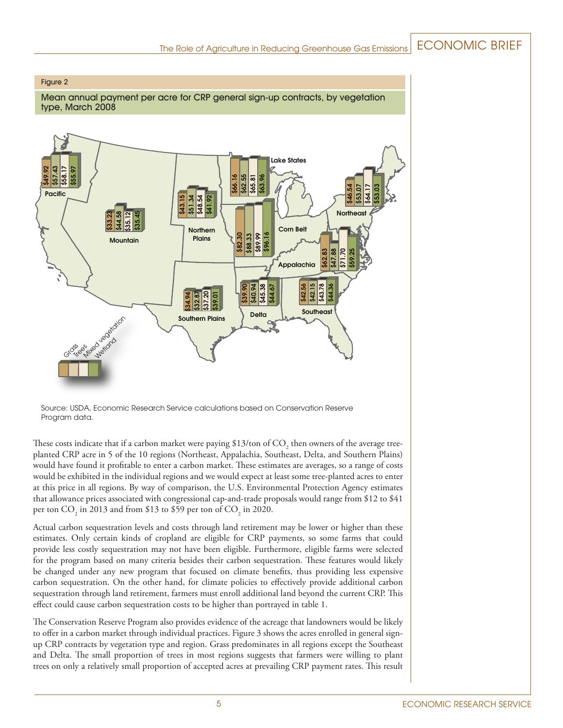#### Figure 2

Mean annual payment per acre for CRP general sign-up contracts, by vegetation type, March 2008



Source: USDA, Economic Research Service calculations based on Conservation Reserve Program data.

These costs indicate that if a carbon market were paying \$13/ton of CO<sub>2</sub> then owners of the average treeplanted CRP acre in 5 of the 10 regions (Northeast, Appalachia, Southeast, Delta, and Southern Plains) would have found it profitable to enter a carbon market. These estimates are averages, so a range of costs would be exhibited in the individual regions and we would expect at least some tree-planted acres to enter at this price in all regions. By way of comparison, the U.S. Environmental Protection Agency estimates that allowance prices associated with congressional cap-and-trade proposals would range from \$12 to \$41 per ton  $\text{CO}_2$  in 2013 and from \$13 to \$59 per ton of  $\text{CO}_2$  in 2020.

Actual carbon sequestration levels and costs through land retirement may be lower or higher than these estimates. Only certain kinds of cropland are eligible for CRP payments, so some farms that could provide less costly sequestration may not have been eligible. Furthermore, eligible farms were selected for the program based on many criteria besides their carbon sequestration. These features would likely be changed under any new program that focused on climate benefits, thus providing less expensive carbon sequestration. On the other hand, for climate policies to effectively provide additional carbon sequestration through land retirement, farmers must enroll additional land beyond the current CRP. This effect could cause carbon sequestration costs to be higher than portrayed in table 1.

The Conservation Reserve Program also provides evidence of the acreage that landowners would be likely to offer in a carbon market through individual practices. Figure 3 shows the acres enrolled in general signup CRP contracts by vegetation type and region. Grass predominates in all regions except the Southeast and Delta. The small proportion of trees in most regions suggests that farmers were willing to plant trees on only a relatively small proportion of accepted acres at prevailing CRP payment rates. This result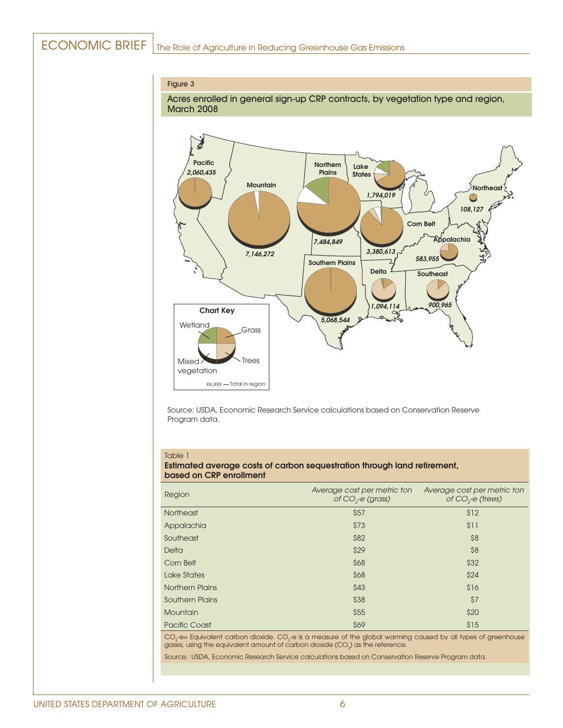# ECONOMIC BRIEF | The Role of Agriculture in Reducing Greenhouse Gas Emissions

#### Figure 3

Acres enrolled in general sign-up CRP contracts, by vegetation type and region, March 2008



Source: USDA, Economic Research Service calculations based on Conservation Reserve Program data.

#### Table 1

#### Estimated average costs of carbon sequestration through land retirement, based on CRP enrollment

| Region                 | Average cost per metric ton<br>of $CO2$ -e (grass) | Average cost per metric ton<br>of $CO2$ -e (trees) |
|------------------------|----------------------------------------------------|----------------------------------------------------|
| <b>Northeast</b>       | \$57                                               | \$12                                               |
| Appalachia             | \$73                                               | \$11                                               |
| Southeast              | \$82                                               | \$8                                                |
| Delta                  | \$29                                               | \$8                                                |
| Corn Belt              | \$68                                               | \$32                                               |
| Lake States            | \$68                                               | \$24                                               |
| <b>Northern Plains</b> | \$43                                               | \$16                                               |
| <b>Southern Plains</b> | \$38                                               | \$7                                                |
| Mountain               | \$55                                               | \$20                                               |
| <b>Pacific Coast</b>   | \$69                                               | \$15                                               |

CO $_2$ -e= Equivalent carbon dioxide. CO $_2$ -e is a measure of the global warming caused by all types of greenhouse gases, using the equivalent amount of carbon dioxide (CO $_{2}$ ) as the reference.

Source: USDA, Economic Research Service calculations based on Conservation Reserve Program data.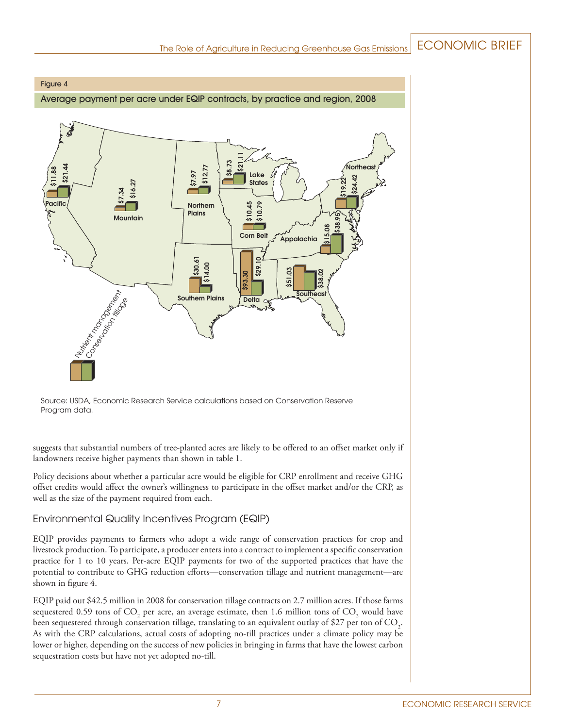#### Figure 4

Average payment per acre under EQIP contracts, by practice and region, 2008



Source: USDA, Economic Research Service calculations based on Conservation Reserve Program data.

suggests that substantial numbers of tree-planted acres are likely to be offered to an offset market only if landowners receive higher payments than shown in table 1.

Policy decisions about whether a particular acre would be eligible for CRP enrollment and receive GHG offset credits would affect the owner's willingness to participate in the offset market and/or the CRP, as well as the size of the payment required from each.

## Environmental Quality Incentives Program (EQIP)

EQIP provides payments to farmers who adopt a wide range of conservation practices for crop and livestock production. To participate, a producer enters into a contract to implement a specific conservation practice for 1 to 10 years. Per-acre EQIP payments for two of the supported practices that have the potential to contribute to GHG reduction efforts—conservation tillage and nutrient management—are shown in figure 4.

EQIP paid out \$42.5 million in 2008 for conservation tillage contracts on 2.7 million acres. If those farms sequestered 0.59 tons of CO<sub>2</sub> per acre, an average estimate, then 1.6 million tons of CO<sub>2</sub> would have been sequestered through conservation tillage, translating to an equivalent outlay of \$27 per ton of CO<sub>2</sub>. As with the CRP calculations, actual costs of adopting no-till practices under a climate policy may be lower or higher, depending on the success of new policies in bringing in farms that have the lowest carbon sequestration costs but have not yet adopted no-till.